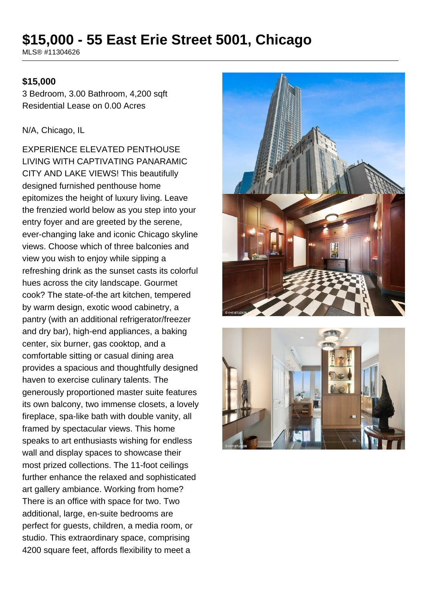# **\$15,000 - 55 East Erie Street 5001, Chicago**

MLS® #11304626

#### **\$15,000**

3 Bedroom, 3.00 Bathroom, 4,200 sqft Residential Lease on 0.00 Acres

N/A, Chicago, IL

EXPERIENCE ELEVATED PENTHOUSE LIVING WITH CAPTIVATING PANARAMIC CITY AND LAKE VIEWS! This beautifully designed furnished penthouse home epitomizes the height of luxury living. Leave the frenzied world below as you step into your entry foyer and are greeted by the serene, ever-changing lake and iconic Chicago skyline views. Choose which of three balconies and view you wish to enjoy while sipping a refreshing drink as the sunset casts its colorful hues across the city landscape. Gourmet cook? The state-of-the art kitchen, tempered by warm design, exotic wood cabinetry, a pantry (with an additional refrigerator/freezer and dry bar), high-end appliances, a baking center, six burner, gas cooktop, and a comfortable sitting or casual dining area provides a spacious and thoughtfully designed haven to exercise culinary talents. The generously proportioned master suite features its own balcony, two immense closets, a lovely fireplace, spa-like bath with double vanity, all framed by spectacular views. This home speaks to art enthusiasts wishing for endless wall and display spaces to showcase their most prized collections. The 11-foot ceilings further enhance the relaxed and sophisticated art gallery ambiance. Working from home? There is an office with space for two. Two additional, large, en-suite bedrooms are perfect for guests, children, a media room, or studio. This extraordinary space, comprising 4200 square feet, affords flexibility to meet a



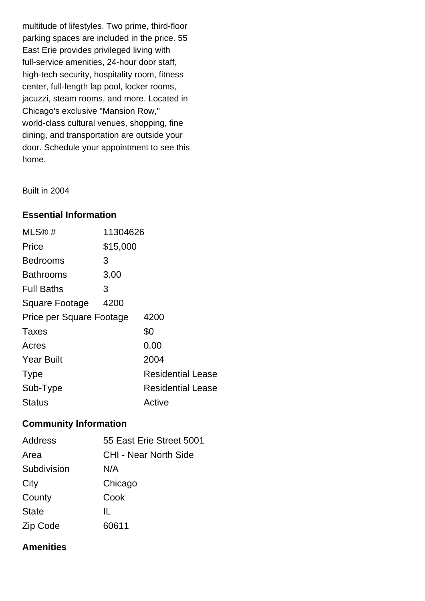multitude of lifestyles. Two prime, third-floor parking spaces are included in the price. 55 East Erie provides privileged living with full-service amenities, 24-hour door staff, high-tech security, hospitality room, fitness center, full-length lap pool, locker rooms, jacuzzi, steam rooms, and more. Located in Chicago's exclusive "Mansion Row," world-class cultural venues, shopping, fine dining, and transportation are outside your door. Schedule your appointment to see this home.

Built in 2004

## **Essential Information**

| MLS@#                    | 11304626 |                          |
|--------------------------|----------|--------------------------|
| Price                    | \$15,000 |                          |
| Bedrooms                 | 3        |                          |
| <b>Bathrooms</b>         | 3.00     |                          |
| <b>Full Baths</b>        | 3        |                          |
| <b>Square Footage</b>    | 4200     |                          |
| Price per Square Footage |          | 4200                     |
| Taxes                    |          | \$0                      |
| Acres                    |          | 0.00                     |
| <b>Year Built</b>        |          | 2004                     |
| <b>Type</b>              |          | <b>Residential Lease</b> |
| Sub-Type                 |          | <b>Residential Lease</b> |
| <b>Status</b>            |          | Active                   |

# **Community Information**

| Address      | 55 East Erie Street 5001     |
|--------------|------------------------------|
| Area         | <b>CHI - Near North Side</b> |
| Subdivision  | N/A                          |
| City         | Chicago                      |
| County       | Cook                         |
| <b>State</b> | Ш.                           |
| Zip Code     | 60611                        |

#### **Amenities**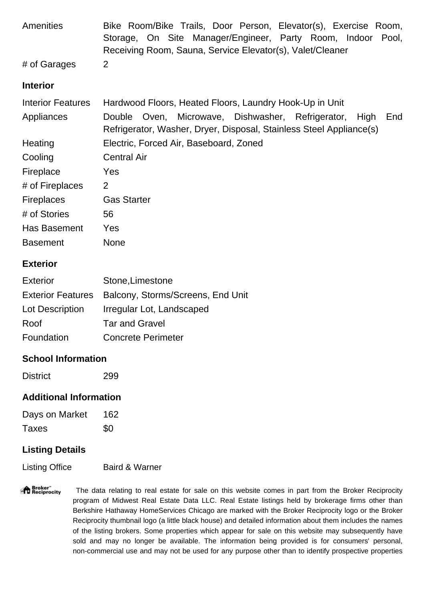| <b>Amenities</b>         | Bike Room/Bike Trails, Door Person, Elevator(s), Exercise Room,<br>Storage, On Site Manager/Engineer, Party Room, Indoor Pool,<br>Receiving Room, Sauna, Service Elevator(s), Valet/Cleaner |
|--------------------------|---------------------------------------------------------------------------------------------------------------------------------------------------------------------------------------------|
| # of Garages             | $\overline{2}$                                                                                                                                                                              |
| <b>Interior</b>          |                                                                                                                                                                                             |
| <b>Interior Features</b> | Hardwood Floors, Heated Floors, Laundry Hook-Up in Unit                                                                                                                                     |
| Appliances               | Double Oven, Microwave, Dishwasher, Refrigerator, High<br>End<br>Refrigerator, Washer, Dryer, Disposal, Stainless Steel Appliance(s)                                                        |
| Heating                  | Electric, Forced Air, Baseboard, Zoned                                                                                                                                                      |
| Cooling                  | <b>Central Air</b>                                                                                                                                                                          |
| Fireplace                | Yes                                                                                                                                                                                         |
| # of Fireplaces          | 2                                                                                                                                                                                           |
| <b>Fireplaces</b>        | <b>Gas Starter</b>                                                                                                                                                                          |
| # of Stories             | 56                                                                                                                                                                                          |
| Has Basement             | Yes                                                                                                                                                                                         |
| <b>Basement</b>          | <b>None</b>                                                                                                                                                                                 |

## **Exterior**

| <b>Exterior</b> | Stone, Limestone                                    |
|-----------------|-----------------------------------------------------|
|                 | Exterior Features Balcony, Storms/Screens, End Unit |
| Lot Description | Irregular Lot, Landscaped                           |
| Roof            | <b>Tar and Gravel</b>                               |
| Foundation      | <b>Concrete Perimeter</b>                           |

# **School Information**

District 299

# **Additional Information**

| Days on Market | 162 |
|----------------|-----|
| Taxes          | \$0 |

# **Listing Details**

Listing Office Baird & Warner

"<sup>A</sup> Broker"<br>"I Reciprocity The data relating to real estate for sale on this website comes in part from the Broker Reciprocity program of Midwest Real Estate Data LLC. Real Estate listings held by brokerage firms other than Berkshire Hathaway HomeServices Chicago are marked with the Broker Reciprocity logo or the Broker Reciprocity thumbnail logo (a little black house) and detailed information about them includes the names of the listing brokers. Some properties which appear for sale on this website may subsequently have sold and may no longer be available. The information being provided is for consumers' personal, non-commercial use and may not be used for any purpose other than to identify prospective properties